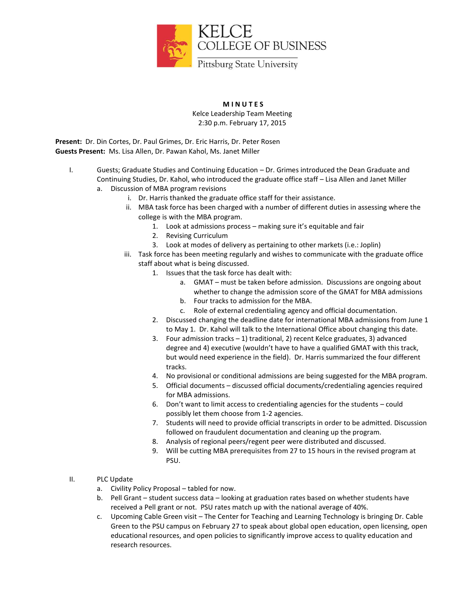

## **M I N U T E S**

Kelce Leadership Team Meeting 2:30 p.m. February 17, 2015

**Present:** Dr. Din Cortes, Dr. Paul Grimes, Dr. Eric Harris, Dr. Peter Rosen **Guests Present:** Ms. Lisa Allen, Dr. Pawan Kahol, Ms. Janet Miller

- I. Guests; Graduate Studies and Continuing Education Dr. Grimes introduced the Dean Graduate and Continuing Studies, Dr. Kahol, who introduced the graduate office staff – Lisa Allen and Janet Miller a. Discussion of MBA program revisions
	- i. Dr. Harris thanked the graduate office staff for their assistance.
		- ii. MBA task force has been charged with a number of different duties in assessing where the college is with the MBA program.
			- 1. Look at admissions process making sure it's equitable and fair
				- 2. Revising Curriculum
				- 3. Look at modes of delivery as pertaining to other markets (i.e.: Joplin)
	- iii. Task force has been meeting regularly and wishes to communicate with the graduate office staff about what is being discussed.
		- 1. Issues that the task force has dealt with:
			- a. GMAT must be taken before admission. Discussions are ongoing about whether to change the admission score of the GMAT for MBA admissions
			- b. Four tracks to admission for the MBA.
			- c. Role of external credentialing agency and official documentation.
		- 2. Discussed changing the deadline date for international MBA admissions from June 1 to May 1. Dr. Kahol will talk to the International Office about changing this date.
		- 3. Four admission tracks 1) traditional, 2) recent Kelce graduates, 3) advanced degree and 4) executive (wouldn't have to have a qualified GMAT with this track, but would need experience in the field). Dr. Harris summarized the four different tracks.
		- 4. No provisional or conditional admissions are being suggested for the MBA program.
		- 5. Official documents discussed official documents/credentialing agencies required for MBA admissions.
		- 6. Don't want to limit access to credentialing agencies for the students could possibly let them choose from 1-2 agencies.
		- 7. Students will need to provide official transcripts in order to be admitted. Discussion followed on fraudulent documentation and cleaning up the program.
		- 8. Analysis of regional peers/regent peer were distributed and discussed.
		- 9. Will be cutting MBA prerequisites from 27 to 15 hours in the revised program at PSU.
- II. PLC Update
	- a. Civility Policy Proposal tabled for now.
	- b. Pell Grant student success data looking at graduation rates based on whether students have received a Pell grant or not. PSU rates match up with the national average of 40%.
	- c. Upcoming Cable Green visit The Center for Teaching and Learning Technology is bringing Dr. Cable Green to the PSU campus on February 27 to speak about global open education, open licensing, open educational resources, and open policies to significantly improve access to quality education and research resources.